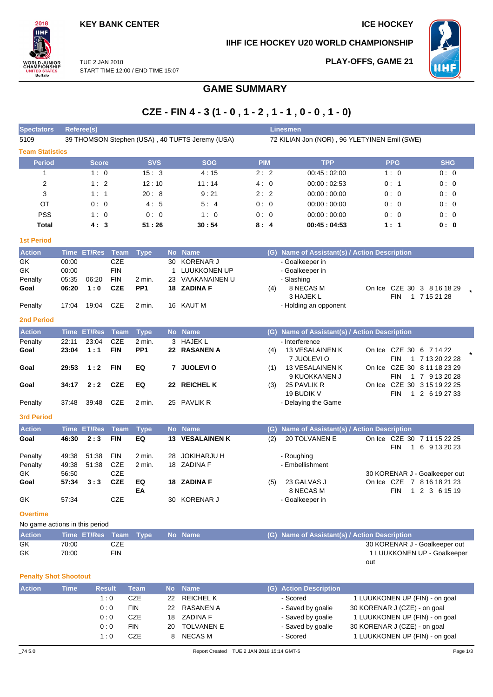$2018$ IІHI

**ORLD JUNIOR<br>HAMPIONSHIP<br>JNITED STATES<br>Buffalo** 

**PLAY-OFFS, GAME 21**

**IIHF ICE HOCKEY U20 WORLD CHAMPIONSHIP**



TUE 2 JAN 2018 START TIME 12:00 / END TIME 15:07

## **GAME SUMMARY**

# **CZE - FIN 4 - 3 (1 - 0 , 1 - 2 , 1 - 1 , 0 - 0 , 1 - 0)**

| <b>Spectators</b>              | Referee(s) |                  |               |                 |           |                                                 |                                              | <b>Linesmen</b>                               |                                           |                             |
|--------------------------------|------------|------------------|---------------|-----------------|-----------|-------------------------------------------------|----------------------------------------------|-----------------------------------------------|-------------------------------------------|-----------------------------|
| 5109                           |            |                  |               |                 |           | 39 THOMSON Stephen (USA), 40 TUFTS Jeremy (USA) | 72 KILIAN Jon (NOR), 96 YLETYINEN Emil (SWE) |                                               |                                           |                             |
| <b>Team Statistics</b>         |            |                  |               |                 |           |                                                 |                                              |                                               |                                           |                             |
| <b>Period</b>                  |            | <b>Score</b>     |               | <b>SVS</b>      |           | <b>SOG</b>                                      | <b>PIM</b>                                   | <b>TPP</b>                                    | <b>PPG</b>                                | <b>SHG</b>                  |
| 1                              |            | 1:0              |               | 15:3            |           | 4:15                                            | 2:2                                          | 00:45:02:00                                   | 1:0                                       | 0:0                         |
| 2                              |            | 1:2              |               | 12:10           |           | 11:14                                           | 4:0                                          | 00:00:02:53                                   | 0:1                                       | 0:0                         |
| 3                              |            | 1:1              |               | 20:8            |           | 9:21                                            | 2:2                                          | 00:00:00:00                                   | 0:0                                       | 0:0                         |
| ОT                             |            | 0:0              |               | 4:5             |           | 5:4                                             | 0:0                                          | 00:00:00:00                                   | 0:0                                       | 0:0                         |
| <b>PSS</b>                     |            | 1:0              |               | 0:0             |           | 1:0                                             | 0:0                                          | 00:00:00:00                                   | 0:0                                       | 0:0                         |
| <b>Total</b>                   |            | 4:3              |               | 51:26           |           | 30:54                                           | 8:4                                          | 00:45:04:53                                   | 1:1                                       | 0: 0                        |
| <b>1st Period</b>              |            |                  |               |                 |           |                                                 |                                              |                                               |                                           |                             |
| <b>Action</b>                  |            | Time ET/Res Team |               | <b>Type</b>     |           | No Name                                         |                                              | (G) Name of Assistant(s) / Action Description |                                           |                             |
| GK                             | 00:00      |                  | <b>CZE</b>    |                 | 30        | <b>KORENAR J</b>                                |                                              | - Goalkeeper in                               |                                           |                             |
| GK                             | 00:00      |                  | <b>FIN</b>    |                 | 1         | LUUKKONEN UP                                    |                                              | - Goalkeeper in                               |                                           |                             |
| Penalty                        | 05:35      | 06:20            | <b>FIN</b>    | 2 min.          | 23        | VAAKANAINEN U                                   |                                              | - Slashing                                    |                                           |                             |
| Goal                           | 06:20      | 1:0              | <b>CZE</b>    | PP <sub>1</sub> |           | 18 ZADINA F                                     | (4)                                          | 8 NECAS M                                     | On Ice CZE 30 3 8 16 18 29                |                             |
|                                |            |                  |               |                 |           |                                                 |                                              | 3 HAJEK L                                     | <b>FIN</b>                                | 1 7 15 21 28                |
| Penalty                        | 17:04      | 19:04            | CZE           | 2 min.          |           | 16 KAUT M                                       |                                              | - Holding an opponent                         |                                           |                             |
| <b>2nd Period</b>              |            |                  |               |                 |           |                                                 |                                              |                                               |                                           |                             |
| <b>Action</b>                  |            | Time ET/Res      | <b>Team</b>   | <b>Type</b>     |           | No Name                                         |                                              | (G) Name of Assistant(s) / Action Description |                                           |                             |
| Penalty                        | 22:11      | 23:04            | <b>CZE</b>    | 2 min.          |           | 3 HAJEK L                                       |                                              | - Interference                                |                                           |                             |
| Goal                           | 23:04      | 1:1              | <b>FIN</b>    | PP <sub>1</sub> |           | 22 RASANEN A                                    | (4)                                          | 13 VESALAINEN K                               | On Ice CZE 30 6 7 14 22                   |                             |
| Goal                           | 29:53      | 1:2              | <b>FIN</b>    | EQ              |           | 7 JUOLEVIO                                      | (1)                                          | 7 JUOLEVI O<br>13 VESALAINEN K                | <b>FIN</b><br>On Ice CZE 30 8 11 18 23 29 | 1 7 13 20 22 28             |
|                                |            |                  |               |                 |           |                                                 |                                              | 9 KUOKKANEN J                                 | FIN                                       | 1 7 9 13 20 28              |
| Goal                           | 34:17      | 2:2              | <b>CZE</b>    | EQ              |           | 22 REICHEL K                                    | (3)                                          | 25 PAVLIK R                                   | On Ice CZE 30 3 15 19 22 25               |                             |
|                                |            |                  |               |                 |           |                                                 |                                              | 19 BUDIK V                                    | <b>FIN</b>                                | 1 2 6 19 27 33              |
| Penalty                        | 37:48      | 39:48            | CZE           | 2 min.          |           | 25 PAVLIK R                                     |                                              | - Delaying the Game                           |                                           |                             |
| <b>3rd Period</b>              |            |                  |               |                 |           |                                                 |                                              |                                               |                                           |                             |
| <b>Action</b>                  |            | Time ET/Res      | <b>Team</b>   | <b>Type</b>     |           | No Name                                         | (G)                                          | Name of Assistant(s) / Action Description     |                                           |                             |
| Goal                           | 46:30      | 2:3              | <b>FIN</b>    | EQ              |           | <b>13 VESALAINEN K</b>                          | (2)                                          | 20 TOLVANEN E                                 | On Ice CZE 30 7 11 15 22 25               |                             |
|                                |            |                  |               |                 |           |                                                 |                                              |                                               | FIN<br>$\mathbf{1}$                       | 6 9 13 20 23                |
| Penalty                        | 49:38      | 51:38            | <b>FIN</b>    | 2 min.          | 28        | <b>JOKIHARJU H</b>                              |                                              | - Roughing                                    |                                           |                             |
| Penalty                        | 49:38      | 51:38            | <b>CZE</b>    | 2 min.          |           | 18 ZADINA F                                     |                                              | - Embellishment                               |                                           |                             |
| GK                             | 56:50      |                  | <b>CZE</b>    |                 |           |                                                 |                                              |                                               | 30 KORENAR J - Goalkeeper out             |                             |
| Goal                           | 57:34      | 3:3              | <b>CZE</b>    | EQ              |           | 18 ZADINA F                                     | (5)                                          | 23 GALVAS J                                   | On Ice CZE 7 8 16 18 21 23                |                             |
| GK                             | 57:34      |                  | CZE           | ΕA              |           | 30 KORENAR J                                    |                                              | 8 NECAS M<br>- Goalkeeper in                  | FIN                                       | 1 2 3 6 15 19               |
|                                |            |                  |               |                 |           |                                                 |                                              |                                               |                                           |                             |
| <b>Overtime</b>                |            |                  |               |                 |           |                                                 |                                              |                                               |                                           |                             |
| No game actions in this period |            |                  |               |                 |           |                                                 |                                              |                                               |                                           |                             |
| <b>Action</b>                  |            | Time ET/Res      | Team          | <b>Type</b>     |           | No Name                                         | (G)                                          | Name of Assistant(s) / Action Description     |                                           |                             |
| GK                             | 70:00      |                  | CZE           |                 |           |                                                 |                                              |                                               | 30 KORENAR J - Goalkeeper out             |                             |
| GK                             | 70:00      |                  | <b>FIN</b>    |                 |           |                                                 |                                              |                                               | out                                       | 1 LUUKKONEN UP - Goalkeeper |
|                                |            |                  |               |                 |           |                                                 |                                              |                                               |                                           |                             |
| <b>Penalty Shot Shootout</b>   |            |                  |               |                 |           |                                                 |                                              |                                               |                                           |                             |
| <b>Action</b>                  | Time       |                  | <b>Result</b> | <b>Team</b>     | <b>No</b> | <b>Name</b>                                     |                                              | (G) Action Description                        |                                           |                             |
|                                |            |                  | 1:0           | CZE             | 22        | <b>REICHELK</b>                                 |                                              | - Scored                                      | 1 LUUKKONEN UP (FIN) - on goal            |                             |
|                                |            |                  | 0:0           | <b>FIN</b>      | 22        | <b>RASANEN A</b>                                |                                              | - Saved by goalie                             | 30 KORENAR J (CZE) - on goal              |                             |
|                                |            |                  | 0:0           | CZE             |           | 18 ZADINA F                                     |                                              | - Saved by goalie                             | 1 LUUKKONEN UP (FIN) - on goal            |                             |

0 : 0 FIN 20 TOLVANEN E - Saved by goalie 30 KORENAR J (CZE) - on goal 1 : 0 CZE 8 NECAS M - Scored 1 LUUKKONEN UP (FIN) - on goal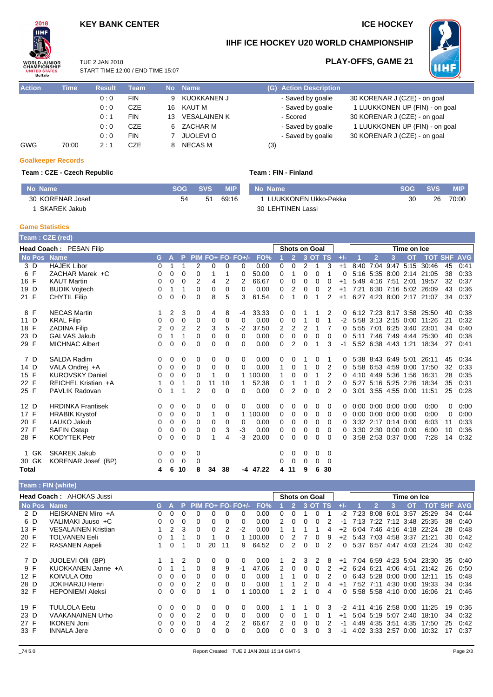## **KEY BANK CENTER ICE HOCKEY**

**PLAY-OFFS, GAME 21**



## **IIHF ICE HOCKEY U20 WORLD CHAMPIONSHIP**



TUE 2 JAN 2018 START TIME 12:00 / END TIME 15:07

| <b>Action</b> | <b>Time</b> | <b>Result</b> | <b>Team</b> |    | No Name             | (G) Action Description |                                |
|---------------|-------------|---------------|-------------|----|---------------------|------------------------|--------------------------------|
|               |             | 0:0           | <b>FIN</b>  | 9  | KUOKKANEN J         | - Saved by goalie      | 30 KORENAR J (CZE) - on goal   |
|               |             | 0:0           | <b>CZE</b>  | 16 | KAUT M              | - Saved by goalie      | 1 LUUKKONEN UP (FIN) - on goal |
|               |             | 0:1           | <b>FIN</b>  | 13 | <b>VESALAINEN K</b> | - Scored               | 30 KORENAR J (CZE) - on goal   |
|               |             | 0:0           | <b>CZE</b>  |    | 6 ZACHAR M          | - Saved by goalie      | 1 LUUKKONEN UP (FIN) - on goal |
|               |             | 0:0           | <b>FIN</b>  |    | JUOLEVI O           | - Saved by goalie      | 30 KORENAR J (CZE) - on goal   |
| GWG           | 70:00       | 2:1           | <b>CZE</b>  |    | NECAS M             | (3)                    |                                |

## **Goalkeeper Records**

### **Team : CZE - Czech Republic**

| Team : FIN - Finland |  |  |  |
|----------------------|--|--|--|
|                      |  |  |  |

| No Name          | SOG SVS |    | <b>MIP</b> |
|------------------|---------|----|------------|
| 30 KORENAR Josef | 54      | 51 | 69.16      |
| 1 SKAREK Jakub   |         |    |            |

| No Name                | <b>ISOG SVS</b> | <b>MIP</b> |
|------------------------|-----------------|------------|
| 1 LUUKKONEN Ukko-Pekka | 30.             | 26 70:00   |
| 30 LEHTINEN Lassi      |                 |            |

#### **Game Statistics Team : CZE (red)**

|        | ream : CZE (red)               |   |         |                |                |          |          |                   |          |          |                      |          |         |                |       |                             |                |                      |             |                           |    |      |
|--------|--------------------------------|---|---------|----------------|----------------|----------|----------|-------------------|----------|----------|----------------------|----------|---------|----------------|-------|-----------------------------|----------------|----------------------|-------------|---------------------------|----|------|
|        | <b>Head Coach: PESAN Filip</b> |   |         |                |                |          |          |                   |          |          | <b>Shots on Goal</b> |          |         |                |       |                             |                |                      | Time on Ice |                           |    |      |
| No Pos | <b>Name</b>                    |   | $G$ $A$ | P.             |                |          |          | PIM FO+ FO- FO+/- | FO%      |          | $\overline{2}$       |          | 3 OT TS |                | $+/-$ |                             | $\overline{2}$ | 3                    | <b>OT</b>   | <b>TOT SHF AVG</b>        |    |      |
| 3 D    | <b>HAJEK Libor</b>             | 0 |         |                | 2              | 0        | 0        | $\Omega$          | 0.00     | 0        | 0                    | 2        | 1       | 3              | $+1$  | 8:40                        |                |                      |             | 7:04 9:47 5:15 30:46      | 45 | 0:41 |
| 6 F    | ZACHAR Marek +C                | 0 | 0       | 0              | 0              |          | 1        | 0                 | 50.00    | 0        | 1                    | $\Omega$ | 0       | 1              | 0     |                             |                |                      |             | 5:16 5:35 8:00 2:14 21:05 | 38 | 0:33 |
| 16 F   | <b>KAUT Martin</b>             | 0 | 0       | 0              | 2              | 4        | 2        | 2                 | 66.67    | 0        | 0                    | 0        | 0       | 0              | $+1$  |                             |                | 5:49 4:16 7:51       | 2:01        | 19:57                     | 32 | 0:37 |
| 19 D   | <b>BUDIK Vojtech</b>           | 0 | 1       | 1              | 0              | 0        | 0        | 0                 | 0.00     | $\Omega$ | $\overline{2}$       | 0        | 0       | 2              | $+1$  |                             |                |                      |             | 7:21 6:30 7:16 5:02 26:09 | 43 | 0:36 |
| 21 F   | <b>CHYTIL Filip</b>            | 0 | 0       | 0              | 0              | 8        | 5        | 3                 | 61.54    | $\Omega$ |                      | 0        |         | $\overline{2}$ | $+1$  |                             |                |                      |             | 6:27 4:23 8:00 2:17 21:07 | 34 | 0:37 |
| 8 F    | <b>NECAS Martin</b>            |   | 2       | 3              | 0              | 4        | 8        | -4                | 33.33    | 0        | 0                    |          |         | 2              | 0     |                             |                |                      |             | 6:12 7:23 8:17 3:58 25:50 | 40 | 0:38 |
| 11 D   | <b>KRAL Filip</b>              | 0 | 0       | 0              | 0              | 0        | 0        | 0                 | 0.00     | 0        | 0                    | 1        | 0       |                | -2    |                             |                |                      |             | 5:58 3:13 2:15 0:00 11:26 | 21 | 0:32 |
| 18 F   | <b>ZADINA Filip</b>            | 2 | 0       | $\overline{2}$ | 2              | 3        | 5        | $-2$              | 37.50    | 2        | 2                    | 2        | 1       | 7              | 0     |                             |                | 5:55 7:01 6:25 3:40  |             | 23:01                     | 34 | 0:40 |
| 23 D   | <b>GALVAS Jakub</b>            | 0 | 1       | 1              | 0              | 0        | 0        | $\Omega$          | 0.00     | 0        | 0                    | 0        | 0       | $\Omega$       | 0     |                             |                |                      |             | 5:11 7:46 7:49 4:44 25:30 | 40 | 0:38 |
| 29 F   | <b>MICHNAC Albert</b>          | 0 | 0       | 0              | $\Omega$       | 0        | 0        | $\Omega$          | 0.00     | $\Omega$ | 2                    | $\Omega$ | 1       | 3              | $-1$  |                             |                |                      |             | 5:52 6:38 4:43 1:21 18:34 | 27 | 0:41 |
| 7 D    | <b>SALDA Radim</b>             | 0 | 0       | 0              | 0              | 0        | 0        | 0                 | 0.00     | 0        | 0                    |          | 0       |                | 0     |                             |                |                      |             | 5:38 8:43 6:49 5:01 26:11 | 45 | 0:34 |
| 14 D   | VALA Ondrej +A                 | 0 | 0       | 0              | 0              | 0        | 0        | $\Omega$          | 0.00     | 1        | 0                    | 1        | 0       | 2              | 0     |                             |                | 5:58 6:53 4:59 0:00  |             | 17:50                     | 32 | 0:33 |
| 15 F   | <b>KUROVSKY Daniel</b>         | 0 | 0       | $\Omega$       | $\Omega$       | 1        | $\Omega$ |                   | 1 100.00 | 1        | 0                    | $\Omega$ | 1       | 2              | 0     |                             |                |                      |             | 4:10 4:49 5:36 1:56 16:31 | 28 | 0:35 |
| 22 F   | REICHEL Kristian +A            |   | 0       |                | 0              | 11       | 10       |                   | 52.38    | 0        |                      |          | 0       | $\overline{2}$ | 0     |                             |                | 5:27 5:16 5:25 2:26  |             | 18:34                     | 35 | 0:31 |
| 25 F   | <b>PAVLIK Radovan</b>          | 0 | 1       | 1              | $\overline{2}$ | $\Omega$ | $\Omega$ | $\Omega$          | 0.00     | $\Omega$ | $\overline{2}$       | $\Omega$ | 0       | 2              | 0     |                             |                |                      |             | 3:01 3:55 4:55 0:00 11:51 | 25 | 0:28 |
| 12 D   | <b>HRDINKA Frantisek</b>       | 0 | 0       | 0              | 0              | 0        | 0        | 0                 | 0.00     | 0        | 0                    | 0        | 0       | 0              | 0     | $0:00$ $0:00$ $0:00$ $0:00$ |                |                      |             | 0:00                      | 0  | 0:00 |
| 17 F   | <b>HRABIK Krystof</b>          | 0 | 0       | 0              | 0              | 1        | 0        | 1                 | 100.00   | 0        | 0                    | 0        | 0       | 0              | 0     | 0:00                        |                | $0:00$ $0:00$ $0:00$ |             | 0:00                      | 0  | 0:00 |
| 20 F   | LAUKO Jakub                    | 0 | 0       | 0              | 0              | 0        | 0        | 0                 | 0.00     | 0        | 0                    | 0        | 0       | $\Omega$       | 0     |                             |                | 3:32 2:17 0:14 0:00  |             | 6:03                      | 11 | 0:33 |
| 27 F   | <b>SAFIN Ostap</b>             | 0 | 0       | 0              | $\Omega$       | 0        | 3        | $-3$              | 0.00     | 0        | 0                    | 0        | 0       | $\Omega$       | 0     |                             |                | 3:30 2:30 0:00 0:00  |             | 6:00                      | 10 | 0:36 |
| 28 F   | <b>KODYTEK Petr</b>            | 0 | 0       | 0              | $\Omega$       |          | 4        | -3                | 20.00    | $\Omega$ | $\Omega$             | 0        | 0       | $\Omega$       | 0     |                             |                | 3:58 2:53 0:37 0:00  |             | 7:28                      | 14 | 0:32 |
| 1 GK   | <b>SKAREK Jakub</b>            | 0 | 0       | 0              | 0              |          |          |                   |          | 0        | 0                    | 0        | 0       | 0              |       |                             |                |                      |             |                           |    |      |
| 30 GK  | KORENAR Josef (BP)             | 0 | 0       | 0              | $\Omega$       |          |          |                   |          | 0        | 0                    | 0        | 0       | $\Omega$       |       |                             |                |                      |             |                           |    |      |
| Total  |                                | 4 | 6       | 10             | 8              | 34       | 38       |                   | -4 47.22 | 4        | 11                   | 9        | 6       | 30             |       |                             |                |                      |             |                           |    |      |

### **Team : FIN (white)**

|      |     | Head Coach: AHOKAS Jussi   |    |          |    |                     |    |          |      |        |    |              |   | <b>Shots on Goal</b><br>Time on Ice |           |          |           |                     |      |                |                           |    |                |
|------|-----|----------------------------|----|----------|----|---------------------|----|----------|------|--------|----|--------------|---|-------------------------------------|-----------|----------|-----------|---------------------|------|----------------|---------------------------|----|----------------|
|      |     | No Pos Name                | G. |          | P. | $PIM FO+ FO- FO+/-$ |    |          |      | FO%    |    |              |   | 3OT                                 | <b>TS</b> |          |           | 2                   |      | ΟТ             | ТОТ                       |    | <b>SHF AVG</b> |
|      | 2 D | HEISKANEN Miro +A          | 0  | $\Omega$ |    |                     |    | $\Omega$ |      | 0.00   | 0  |              |   |                                     |           | $-2$     | 7:23      | 8:08                | 6:01 | 3.57           | 25.29                     | 34 | 0:44           |
| 6 D  |     | VALIMAKI Juuso +C          | 0  | $\Omega$ | 0  | 0                   | 0  | 0        |      | 0.00   |    | <sup>0</sup> |   |                                     |           | -1       | 7:13      | 7:22 7:12 3:48      |      |                | 25.35                     | 38 | 0:40           |
| 13 F |     | <b>VESALAINEN Kristian</b> |    | 2        | 3  | 0                   | 0  | 2        | $-2$ | 0.00   |    |              |   |                                     |           | $+2$     |           | 6.04 7.46           |      |                | 4:16 4:18 22:24           | 28 | 0:48           |
| 20 F |     | <b>TOLVANEN Eeli</b>       |    |          |    |                     |    | 0        |      | 100.00 | 0  |              |   | 0                                   | 9         | $+2$     | 5.43 7.03 |                     |      | 4.58 3.37      | 21:21                     | 30 | 0:42           |
| 22 F |     | <b>RASANEN Aapeli</b>      |    | $\Omega$ |    | $\Omega$            | 20 | 11       | 9    | 64.52  | 0  |              | 0 | 0                                   | 2         | $\Omega$ | 5:37 6:57 |                     | 4:47 | 4:03           | 21:24                     | 30 | 0:42           |
|      | 7 D | <b>JUOLEVI OIII (BP)</b>   |    |          |    | 0                   | 0  | 0        |      | 0.00   |    |              | 3 | 2                                   | 8         | $+1$     |           |                     |      |                | 7:04 6:59 4:23 5:04 23:30 | 35 | 0:40           |
| 9 F  |     | KUOKKANEN Janne +A         |    |          |    |                     | 8  | 9        | -1   | 47.06  |    |              |   | o                                   |           | $+2$     | 6.24 6.21 |                     | 4:06 |                | 4:51 21:42                | 26 | 0:50           |
| 12 F |     | <b>KOIVULA Otto</b>        | 0  | 0        | 0  |                     | o  | 0        |      | 0.00   |    |              |   |                                     |           |          |           | 6:43 5:28           | 0:00 | 0:00           | 12:11                     | 15 | 0:48           |
| 28 D |     | <b>JOKIHARJU Henri</b>     | 0. | $\Omega$ | 0  | 2                   | ი  | 0        |      | 0.00   |    |              |   |                                     |           | +1       | 7:52      | 7:11                | 4:30 | 0:00           | 19:33                     | 34 | 0:34           |
| 32 F |     | <b>HEPONIEMI Aleksi</b>    | 0. | $\Omega$ | 0  |                     |    | 0        |      | 100.00 |    |              |   | 0                                   | 4         | 0        |           | 5:58 5:58 4:10 0:00 |      |                | 16:06                     | 21 | 0:46           |
| 19 F |     | <b>TUULOLA Eetu</b>        | 0  | $\Omega$ | 0  | 0                   | 0  | 0        | 0    | 0.00   |    |              |   | 0                                   | 3         | $-2$     | 4:11      |                     |      | 4:16 2:58 0:00 | 11:25                     | 19 | 0:36           |
| 23 D |     | VAAKANAINEN Urho           | 0  | 0        | 0  | 2                   | o  | 0        |      | 0.00   |    |              |   |                                     |           | $+1$     |           | 5:04 5:19           | 5:07 | 2:40           | 18:10                     | 34 | 0:32           |
| 27 F |     | <b>IKONEN Joni</b>         |    | 0        | 0  |                     | 4  | 2        |      | 66.67  |    |              |   | Ω                                   |           | -1       | 4:49      | 4:35                | 3.51 | 4:35           | 17:50                     | 25 | 0:42           |
| 33 F |     | <b>INNALA Jere</b>         | O. | $\Omega$ | 0  |                     | U  | 0        |      | 0.00   | O. | ∩            | 3 | o                                   | 3         | -1       |           | 4:02 3:33 2:57      |      | 0:00           | 10:32                     | 17 | 0:37           |